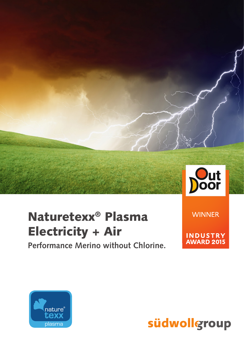

# Naturetexx<sup>®</sup> Plasma **Electricity + Air**

Performance Merino without Chlorine.

**WINNER** 

**INDUSTRY**<br>AWARD 2015



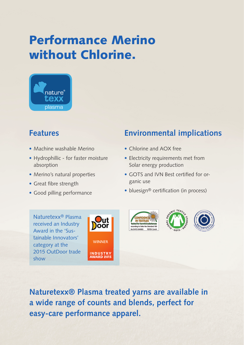### Performance Merino without Chlorine.



#### **Features**

- Machine washable Merino
- Hydrophillic for faster moisture absorption
- Merino's natural properties
- Great fibre strength
- Good pilling performance

### **Environmental implications**

- Chlorine and AOX free
- Electricity requirements met from Solar energy production
- GOTS and IVN Best certified for organic use
- bluesign® certification (in process)

Naturetexx® Plasma received an Industry Award in the 'Sustainable Innovators' category at the 2015 OutDoor trade show









**Naturetexx® Plasma treated yarns are available in a wide range of counts and blends, perfect for easy-care performance apparel.**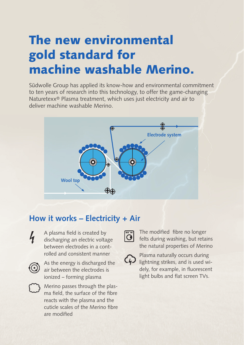# The new environmental gold standard for machine washable Merino.

Südwolle Group has applied its know-how and environmental commitment to ten years of research into this technology, to offer the game-changing Naturetexx® Plasma treatment, which uses just electricity and air to deliver machine washable Merino.



#### **How it works – Electricity + Air**



A plasma field is created by discharging an electric voltage between electrodes in a controlled and consistent manner



As the energy is discharged the air between the electrodes is ionized – forming plasma



Merino passes through the plasma field, the surface of the fibre reacts with the plasma and the cuticle scales of the Merino fibre are modified



The modified fibre no longer felts during washing, but retains the natural properties of Merino



Plasma naturally occurs during lightning strikes, and is used widely, for example, in fluorescent light bulbs and flat screen TVs.